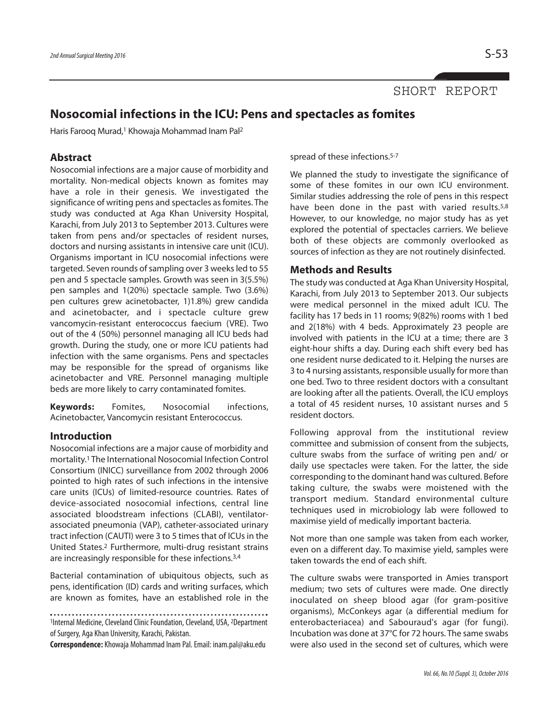## SHORT REPORT

# **Nosocomial infections in the ICU: Pens and spectacles as fomites**

Haris Farooq Murad,<sup>1</sup> Khowaja Mohammad Inam Pal<sup>2</sup>

## **Abstract**

Nosocomial infections are a major cause of morbidity and mortality. Non-medical objects known as fomites may have a role in their genesis. We investigated the significance of writing pens and spectacles as fomites. The study was conducted at Aga Khan University Hospital, Karachi, from July 2013 to September 2013. Cultures were taken from pens and/or spectacles of resident nurses, doctors and nursing assistants in intensive care unit (ICU). Organisms important in ICU nosocomial infections were targeted. Seven rounds of sampling over 3 weeks led to 55 pen and 5 spectacle samples. Growth was seen in 3(5.5%) pen samples and 1(20%) spectacle sample. Two (3.6%) pen cultures grew acinetobacter, 1)1.8%) grew candida and acinetobacter, and i spectacle culture grew vancomycin-resistant enterococcus faecium (VRE). Two out of the 4 (50%) personnel managing all ICU beds had growth. During the study, one or more ICU patients had infection with the same organisms. Pens and spectacles may be responsible for the spread of organisms like acinetobacter and VRE. Personnel managing multiple beds are more likely to carry contaminated fomites.

**Keywords:** Fomites, Nosocomial infections, Acinetobacter, Vancomycin resistant Enterococcus.

### **Introduction**

Nosocomial infections are a major cause of morbidity and mortality. <sup>1</sup> The International Nosocomial Infection Control Consortium (INICC) surveillance from 2002 through 2006 pointed to high rates of such infections in the intensive care units (ICUs) of limited-resource countries. Rates of device-associated nosocomial infections, central line associated bloodstream infections (CLABI), ventilatorassociated pneumonia (VAP), catheter-associated urinary tract infection (CAUTI) were 3 to 5 times that of ICUs in the United States. <sup>2</sup> Furthermore, multi-drug resistant strains are increasingly responsible for these infections. 3,4

Bacterial contamination of ubiquitous objects, such as pens, identification (ID) cards and writing surfaces, which are known as fomites, have an established role in the

<sup>1</sup>Internal Medicine, Cleveland Clinic Foundation, Cleveland, USA, <sup>2</sup>Department of Surgery, Aga Khan University, Karachi, Pakistan.

**Correspondence:** Khowaja Mohammad Inam Pal. Email: inam.pal@aku.edu

spread of these infections. 5-7

We planned the study to investigate the significance of some of these fomites in our own ICU environment. Similar studies addressing the role of pens in this respect have been done in the past with varied results.<sup>5,8</sup> However, to our knowledge, no major study has as yet explored the potential of spectacles carriers. We believe both of these objects are commonly overlooked as sources of infection as they are not routinely disinfected.

#### **Methods and Results**

The study was conducted at Aga Khan University Hospital, Karachi, from July 2013 to September 2013. Our subjects were medical personnel in the mixed adult ICU. The facility has 17 beds in 11 rooms; 9(82%) rooms with 1 bed and 2(18%) with 4 beds. Approximately 23 people are involved with patients in the ICU at a time; there are 3 eight-hour shifts a day. During each shift every bed has one resident nurse dedicated to it. Helping the nurses are 3 to 4 nursing assistants, responsible usually for more than one bed. Two to three resident doctors with a consultant are looking after all the patients. Overall, the ICU employs a total of 45 resident nurses, 10 assistant nurses and 5 resident doctors.

Following approval from the institutional review committee and submission of consent from the subjects, culture swabs from the surface of writing pen and/ or daily use spectacles were taken. For the latter, the side corresponding to the dominant hand was cultured. Before taking culture, the swabs were moistened with the transport medium. Standard environmental culture techniques used in microbiology lab were followed to maximise yield of medically important bacteria.

Not more than one sample was taken from each worker, even on a different day. To maximise yield, samples were taken towards the end of each shift.

The culture swabs were transported in Amies transport medium; two sets of cultures were made. One directly inoculated on sheep blood agar (for gram-positive organisms), McConkeys agar (a differential medium for enterobacteriacea) and Sabouraud's agar (for fungi). Incubation was done at 37°C for 72 hours. The same swabs were also used in the second set of cultures, which were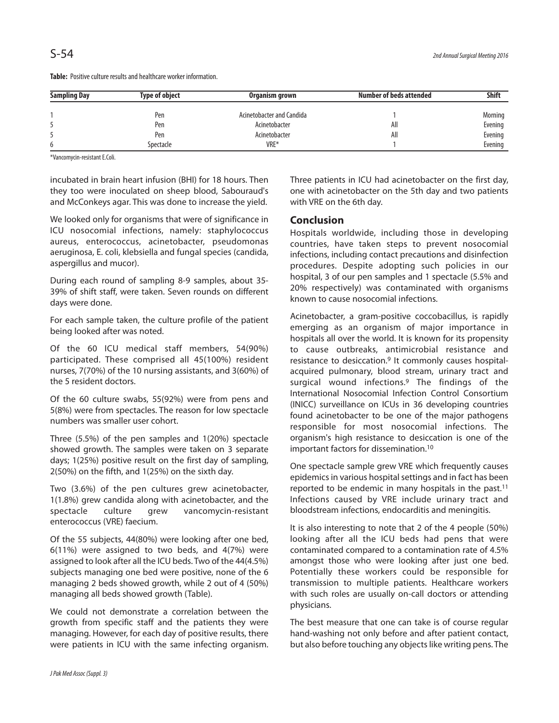| <b>Sampling Day</b> | <b>Type of object</b> | Organism grown            | Number of beds attended | <b>Shift</b> |
|---------------------|-----------------------|---------------------------|-------------------------|--------------|
|                     | Pen                   | Acinetobacter and Candida |                         | Morning      |
|                     | Pen                   | Acinetobacter             | All                     | Evening      |
|                     | Pen                   | Acinetobacter             | All                     | Evening      |
| 6                   | Spectacle             | VRE*                      |                         | Evening      |

Table: Positive culture results and healthcare worker information.

\*Vancomycin-resistant E.Coli.

incubated in brain heart infusion (BHI) for 18 hours. Then they too were inoculated on sheep blood, Sabouraud's and McConkeys agar. This was done to increase the yield.

We looked only for organisms that were of significance in ICU nosocomial infections, namely: staphylococcus aureus, enterococcus, acinetobacter, pseudomonas aeruginosa, E. coli, klebsiella and fungal species (candida, aspergillus and mucor).

During each round of sampling 8-9 samples, about 35- 39% of shift staff, were taken. Seven rounds on different days were done.

For each sample taken, the culture profile of the patient being looked after was noted.

Of the 60 ICU medical staff members, 54(90%) participated. These comprised all 45(100%) resident nurses, 7(70%) of the 10 nursing assistants, and 3(60%) of the 5 resident doctors.

Of the 60 culture swabs, 55(92%) were from pens and 5(8%) were from spectacles. The reason for low spectacle numbers was smaller user cohort.

Three (5.5%) of the pen samples and 1(20%) spectacle showed growth. The samples were taken on 3 separate days; 1(25%) positive result on the first day of sampling, 2(50%) on the fifth, and 1(25%) on the sixth day.

Two (3.6%) of the pen cultures grew acinetobacter, 1(1.8%) grew candida along with acinetobacter, and the spectacle culture grew vancomycin-resistant enterococcus (VRE) faecium.

Of the 55 subjects, 44(80%) were looking after one bed, 6(11%) were assigned to two beds, and 4(7%) were assigned to look after all the ICU beds. Two of the 44(4.5%) subjects managing one bed were positive, none of the 6 managing 2 beds showed growth, while 2 out of 4 (50%) managing all beds showed growth (Table).

We could not demonstrate a correlation between the growth from specific staff and the patients they were managing. However, for each day of positive results, there were patients in ICU with the same infecting organism. Three patients in ICU had acinetobacter on the first day, one with acinetobacter on the 5th day and two patients with VRE on the 6th day.

#### **Conclusion**

Hospitals worldwide, including those in developing countries, have taken steps to prevent nosocomial infections, including contact precautions and disinfection procedures. Despite adopting such policies in our hospital, 3 of our pen samples and 1 spectacle (5.5% and 20% respectively) was contaminated with organisms known to cause nosocomial infections.

Acinetobacter, a gram-positive coccobacillus, is rapidly emerging as an organism of major importance in hospitals all over the world. It is known for its propensity to cause outbreaks, antimicrobial resistance and resistance to desiccation. <sup>9</sup> It commonly causes hospitalacquired pulmonary, blood stream, urinary tract and surgical wound infections. <sup>9</sup> The findings of the International Nosocomial Infection Control Consortium (INICC) surveillance on ICUs in 36 developing countries found acinetobacter to be one of the major pathogens responsible for most nosocomial infections. The organism's high resistance to desiccation is one of the important factors for dissemination. 10

One spectacle sample grew VRE which frequently causes epidemics in various hospital settings and in fact has been reported to be endemic in many hospitals in the past. 11 Infections caused by VRE include urinary tract and bloodstream infections, endocarditis and meningitis.

It is also interesting to note that 2 of the 4 people (50%) looking after all the ICU beds had pens that were contaminated compared to a contamination rate of 4.5% amongst those who were looking after just one bed. Potentially these workers could be responsible for transmission to multiple patients. Healthcare workers with such roles are usually on-call doctors or attending physicians.

The best measure that one can take is of course regular hand-washing not only before and after patient contact, but also before touching any objects like writing pens. The